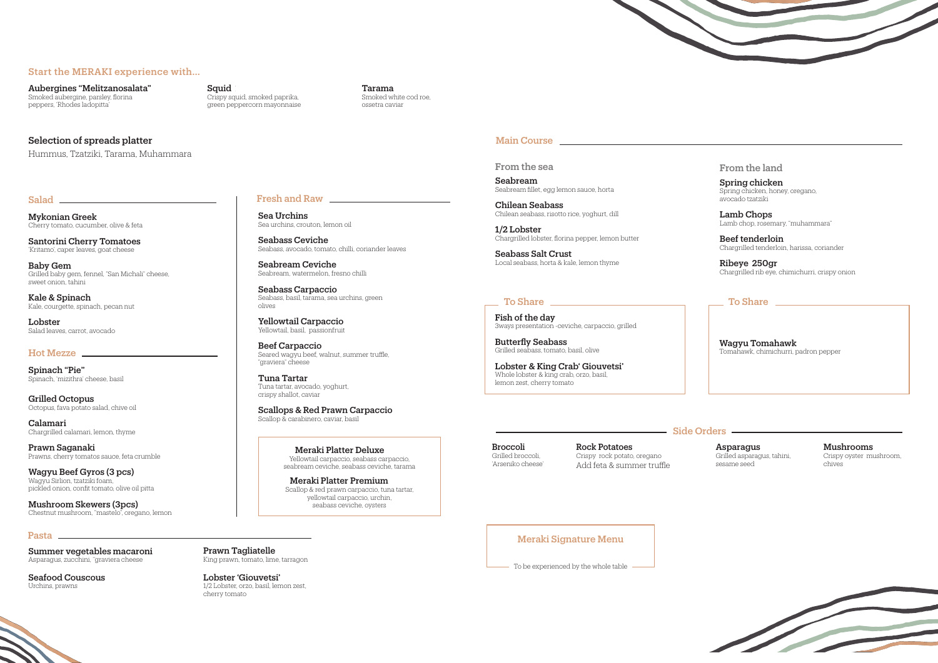### Start the MERAKI experience with…

Aubergines "Melitzanosalata" 16 Smoked aubergine, parsley, florina peppers, 'Rhodes ladopitta'

# Squid

Crispy squid, smoked paprika, green peppercorn mayonnaise

### **Tarama**

Santorini Cherry Tomatoes 'Kritamo', caper leaves, goat cheese

Baby Gem Grilled baby gem, fennel, "San Michali" cheese, sweet onion, tahini

Smoked white cod roe, ossetra caviar

## Selection of spreads platter

Kale & Spinach Kale, courgette, spinach, pecan nut

Lobster Salad leaves, carrot, avocado

### Hot Mezze

Mykonian Greek 24 Cherry tomato, cucumber, olive & feta

Sea Urchins Sea urchins, crouton, lemon oil

Seabass Ceviche Seabass, avocado, tomato, chilli, coriander leaves

Seabream Ceviche Seabream, watermelon, fresno chilli

Seabass Carpaccio Seabass, basil, tarama, sea urchins, green olives

Beef Carpaccio Seared wagyu beef, walnut, summer truffle, "graviera" cheese

Scallops & Red Prawn Carpaccio Scallop & carabinero, caviar, basil

Spinach "Pie" Spinach, 'mizithra' cheese, basil

Calamari Chargrilled calamari, lemon, thyme

Wagyu Beef Gyros (3 pcs) Wagyu Sirlion, tzatziki foam, pickled onion, confit tomato, olive oil pitta

Summer vegetables macaroni Asparagus, zucchini, ''graviera cheese

Yellowtail Carpaccio 35 Yellowtail, basil, passionfruit

Lobster 'Giouvetsi' 1/2 Lobster, orzo, basil, lemon zest,

Seafood Couscous Urchins, prawns

## Salad **Fresh and Raw**

Fish of the day 3ways presentation -ceviche, carpaccio, grilled

Tuna Tartar 35 Tuna tartar, avocado, yoghurt, crispy shallot, caviar

**Butterfly Seabass** Grilled seabass, tomato, basil, olive

Lobster & King Crab' Giouvetsi' Whole lobster & king crab, orzo, basil, lemon zest, cherry tomato

### **Side Orders Side Orders**

Rock Potatoes Crispy rock potato, oregano Add feta & summer truffle

Seabream Seabream fillet, egg lemon sauce, horta

 $1/2$  Lobster Chargrilled lobster, florina pepper, lemon butter

Grilled Octopus 32 Octopus, fava potato salad, chive oil

> **Broccoli** Grilled broccoli, 'Arseniko cheese'

Seabass Salt Crust

Asparagus Grilled asparagus, tahini, sesame seed

Prawn Saganaki 38 Prawns, cherry tomatos sauce, feta crumble

Meraki Platter Deluxe Yellowtail carpaccio, seabass carpaccio, seabream ceviche, seabass ceviche, tarama

Meraki Platter Premium Scallop & red prawn carpaccio, tuna tartar, yellowtail carpaccio, urchin, seabass ceviche, oysters

### Main Course <u>experience and the set of the set of the set of the set of the set of the set of the set of the set of the set of the set of the set of the set of the set of the set of the set of the set of the set of the set</u>

Spring chicken Spring chicken, honey, oregano, avocado tzatziki

Mushroom Skewers (3pcs) 18 Chestnut mushroom, "mastelo", oregano, lemon Lamb Chops Lamb chop, rosemary, "muhammara"

Beef tenderloin Chargrilled tenderloin, harissa, coriander

Ribeye 250gr Chargrilled rib eye, chimichurri, crispy onion

# To Share <u>The Share To Share The Share The Share The Share The Share The Share The Share The Share The Share The Share The Share The Share The Share The Share The Share The Share The Share The Share The Share The Share The</u>

Wagyu Tomahawk Tomahawk, chimichurri, padron pepper

Prawn Tagliatelle 42

King prawn, tomato, lime, tarragon

cherry tomato

Hummus, Tzatziki, Tarama, Muhammara

From the sea

Chilean Seabass 47 Chilean seabass, risotto rice, yoghurt, dill

Local seabass, horta & kale, lemon thyme

Mushrooms 15 Crispy oyster mushroom, chives

# Pasta

## From the land

### Meraki Signature Menu

To be experienced by the whole table